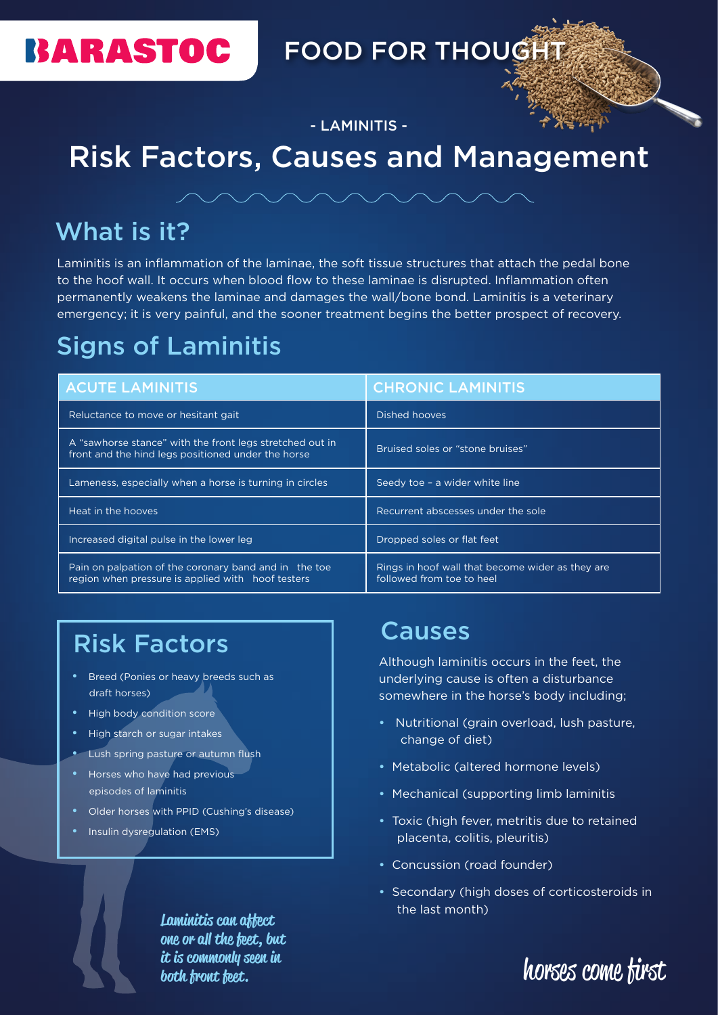

### FOOD FOR THOUGHT

- LAMINITIS -

### Risk Factors, Causes and Management



#### What is it?

Laminitis is an inflammation of the laminae, the soft tissue structures that attach the pedal bone to the hoof wall. It occurs when blood flow to these laminae is disrupted. Inflammation often permanently weakens the laminae and damages the wall/bone bond. Laminitis is a veterinary emergency; it is very painful, and the sooner treatment begins the better prospect of recovery.

### Signs of Laminitis

| <b>ACUTE LAMINITIS</b>                                                                                         | <b>CHRONIC LAMINITIS</b>                                                      |
|----------------------------------------------------------------------------------------------------------------|-------------------------------------------------------------------------------|
| Reluctance to move or hesitant gait                                                                            | Dished hooves                                                                 |
| A "sawhorse stance" with the front legs stretched out in<br>front and the hind legs positioned under the horse | Bruised soles or "stone bruises"                                              |
| Lameness, especially when a horse is turning in circles                                                        | Seedy toe - a wider white line                                                |
| Heat in the hooves                                                                                             | Recurrent abscesses under the sole                                            |
| Increased digital pulse in the lower leg                                                                       | Dropped soles or flat feet                                                    |
| Pain on palpation of the coronary band and in the toe<br>region when pressure is applied with hoof testers     | Rings in hoof wall that become wider as they are<br>followed from toe to heel |

### Risk Factors

- **Breed (Ponies or heavy breeds such as** draft horses)
- High body condition score
- High starch or sugar intakes
- Lush spring pasture or autumn flush
- Horses who have had previous episodes of laminitis
- Older horses with PPID (Cushing's disease)
- Insulin dysregulation (EMS)

#### Causes

Although laminitis occurs in the feet, the underlying cause is often a disturbance somewhere in the horse's body including;

- Nutritional (grain overload, lush pasture, change of diet)
- Metabolic (altered hormone levels)
- Mechanical (supporting limb laminitis
- Toxic (high fever, metritis due to retained placenta, colitis, pleuritis)
- Concussion (road founder)
- Secondary (high doses of corticosteroids in the last month)

horses come first

Laminitis can affect one or all the feet, but it is commonly seen in both front feet.